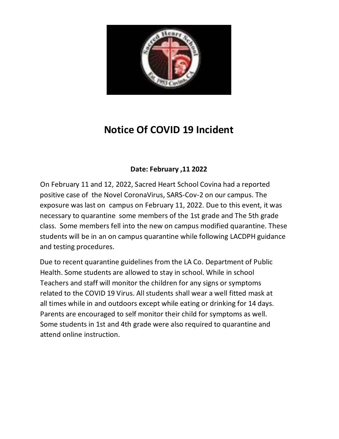

# **Notice Of COVID 19 Incident**

# **Date: February ,11 2022**

On February 11 and 12, 2022, Sacred Heart School Covina had a reported positive case of the Novel CoronaVirus, SARS-Cov-2 on our campus. The exposure was last on campus on February 11, 2022. Due to this event, it was necessary to quarantine some members of the 1st grade and The 5th grade class. Some members fell into the new on campus modified quarantine. These students will be in an on campus quarantine while following LACDPH guidance and testing procedures.

Due to recent quarantine guidelines from the LA Co. Department of Public Health. Some students are allowed to stay in school. While in school Teachers and staff will monitor the children for any signs or symptoms related to the COVID 19 Virus. All students shall wear a well fitted mask at all times while in and outdoors except while eating or drinking for 14 days. Parents are encouraged to self monitor their child for symptoms as well. Some students in 1st and 4th grade were also required to quarantine and attend online instruction.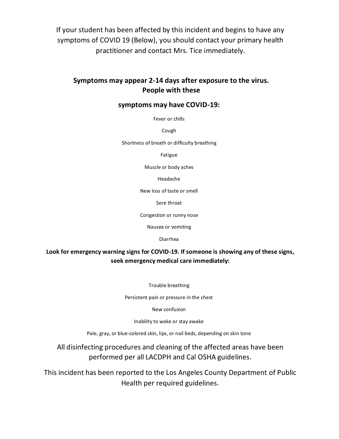If your student has been affected by this incident and begins to have any symptoms of COVID 19 (Below), you should contact your primary health practitioner and contact Mrs. Tice immediately.

## **Symptoms may appear 2-14 days after exposure to the virus. People with these**

#### **symptoms may have COVID-19:**

Fever or chills

Cough

Shortness of breath or difficulty breathing

Fatigue

Muscle or body aches

Headache

New loss of taste or smell

Sore throat

Congestion or runny nose

Nausea or vomiting

Diarrhea

#### **Look for emergency warning signs for COVID-19. If someone is showing any of these signs, seek emergency medical care immediately:**

Trouble breathing

Persistent pain or pressure in the chest

New confusion

Inability to wake or stay awake

Pale, gray, or blue-colored skin, lips, or nail beds, depending on skin tone

All disinfecting procedures and cleaning of the affected areas have been performed per all LACDPH and Cal OSHA guidelines.

This incident has been reported to the Los Angeles County Department of Public Health per required guidelines.